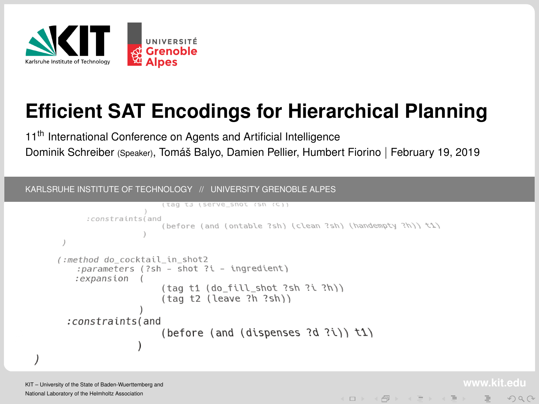<span id="page-0-0"></span>

# **Efficient SAT Encodings for Hierarchical Planning**

11<sup>th</sup> International Conference on Agents and Artificial Intelligence Dominik Schreiber (Speaker), Tomáš Balyo, Damien Pellier, Humbert Fiorino | February 19, 2019

KARLSRUHE INSTITUTE OF TECHNOLOGY // UNIVERSITY GRENOBLE ALPES

```
(tag ts (serve_snot (sn (c))
      :constraints(and
                     (before (and (ontable ?sh) (clean ?sh) (handempty ?h)) \uparrow1)
(:method do_cocktail_in_shot2
   :parameters (?sh - shot ?i - ingredient)
   : expansion ((taq t1 (do fill shot 3sh 3i 3h))(taa t2 (leave ?h ?sh)): constraints (and
                     (before (and (dispenses 3d \hat{i})) \hat{i})
```
 $\mathcal{A} \otimes \mathcal{B} \rightarrow \mathcal{A} \otimes \mathcal{B} \rightarrow \mathcal{A} \otimes \mathcal{B} \rightarrow \mathcal{B} \rightarrow \mathcal{B} \otimes \mathcal{B} \rightarrow \mathcal{B} \otimes \mathcal{B} \rightarrow \mathcal{B} \otimes \mathcal{B} \rightarrow \mathcal{B} \otimes \mathcal{B} \otimes \mathcal{B} \rightarrow \mathcal{B} \otimes \mathcal{B} \otimes \mathcal{B} \rightarrow \mathcal{B} \otimes \mathcal{B} \otimes \mathcal{B} \otimes \mathcal{B} \rightarrow \mathcal{B} \otimes \mathcal{B} \otimes \mathcal{B$ 

 $A$ 

KIT – University of the State of Baden-Wuerttemberg and National Laboratory of the Helmholtz Association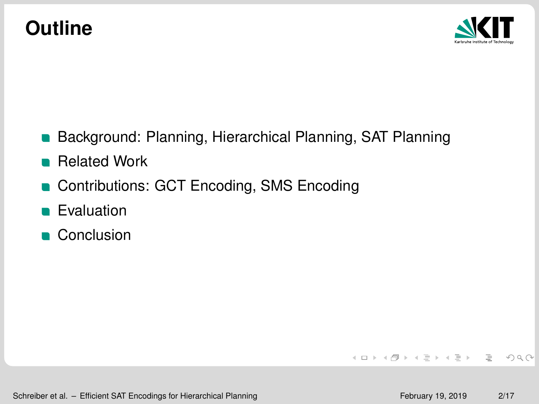## **Outline**



- **Background: Planning, Hierarchical Planning, SAT Planning**
- **Related Work**
- Contributions: GCT Encoding, SMS Encoding
- **Evaluation**
- **Conclusion**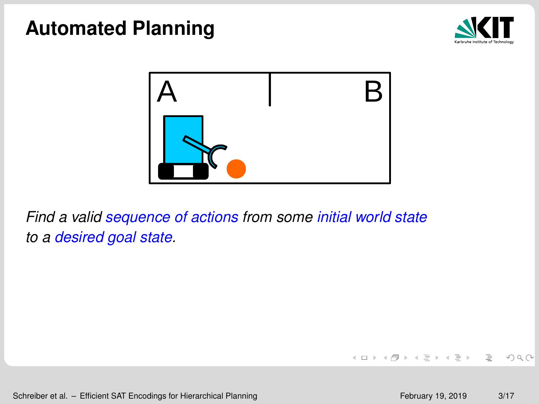



*Find a valid sequence of actions from some initial world state to a desired goal state.*

Schreiber et al. – [Efficient SAT Encodings for Hierarchical Planning](#page-0-0) February 19, 2019 3/17

 $\equiv$ 

 $OQ$ 

イロト イ団 トイヨ トイヨ トー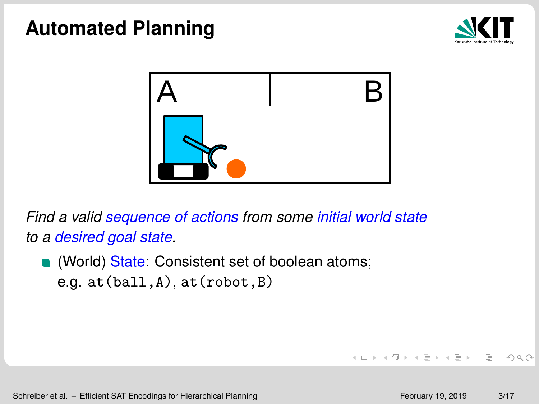



*Find a valid sequence of actions from some initial world state to a desired goal state.*

**(World) State:** Consistent set of boolean atoms; e.g. at(ball,A), at(robot,B)

 $\equiv$  $OQ$ 

イロト イ押ト イミト イミト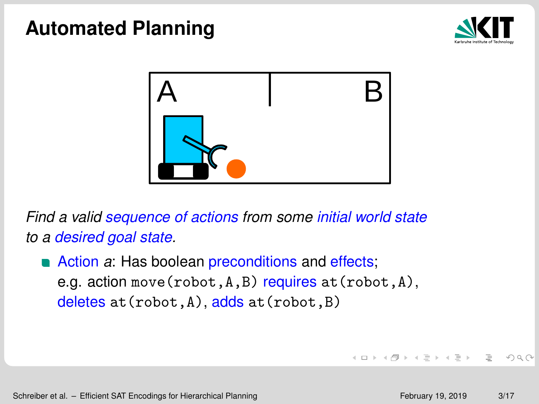



*Find a valid sequence of actions from some initial world state to a desired goal state.*

**Action** *a***:** Has boolean preconditions and effects; e.g. action move  $(robot, A, B)$  requires  $at(robot, A)$ , deletes at (robot, A), adds at (robot, B)

 $\equiv$ 

 $OQ$ 

イロト イ団 トイヨ トイヨ トー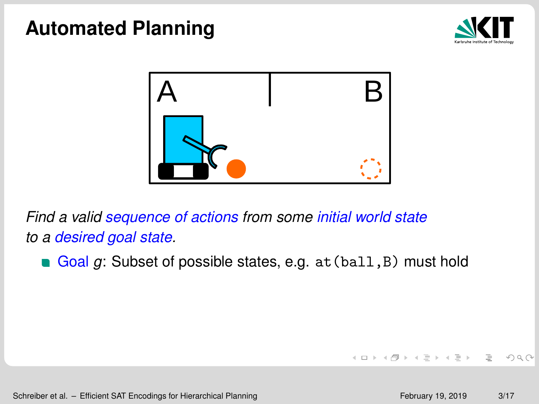



*Find a valid sequence of actions from some initial world state to a desired goal state.*

Goal *g*: Subset of possible states, e.g. at (ball, B) must hold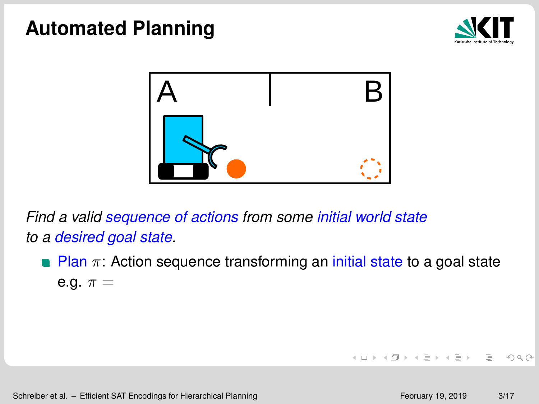



*Find a valid sequence of actions from some initial world state to a desired goal state.*

**Plan**  $\pi$ : Action sequence transforming an *initial state to a goal state* e.g.  $\pi =$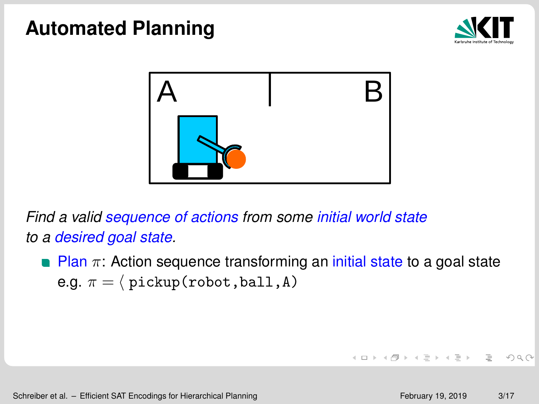



*Find a valid sequence of actions from some initial world state to a desired goal state.*

**Plan**  $\pi$ : Action sequence transforming an initial state to a goal state e.g.  $\pi = \langle$  pickup(robot,ball,A)

 $\equiv$  $OQ$ 

イロト イ団 トイヨ トイヨ トー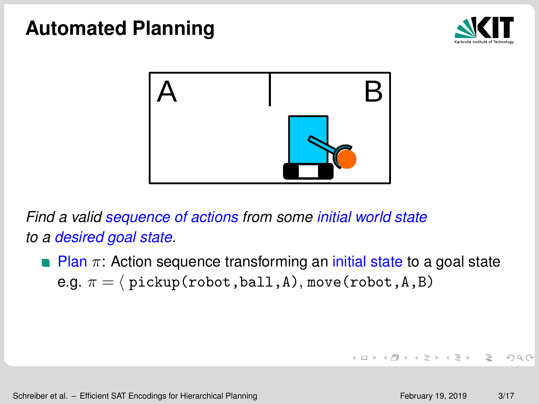



*Find a valid sequence of actions from some initial world state to a desired goal state.*

**Plan**  $\pi$ **:** Action sequence transforming an initial state to a goal state e.g.  $\pi = \langle$  pickup(robot,ball,A), move(robot,A,B)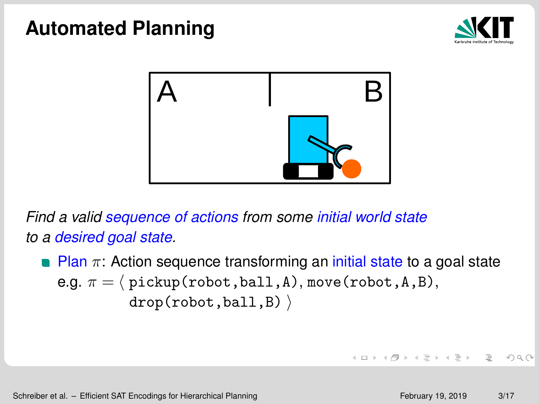



*Find a valid sequence of actions from some initial world state to a desired goal state.*

**Plan**  $\pi$ **:** Action sequence transforming an *initial state to a goal state* e.g.  $\pi = \langle$  pickup(robot,ball,A), move(robot,A,B),  $drop(robot,ball,B)$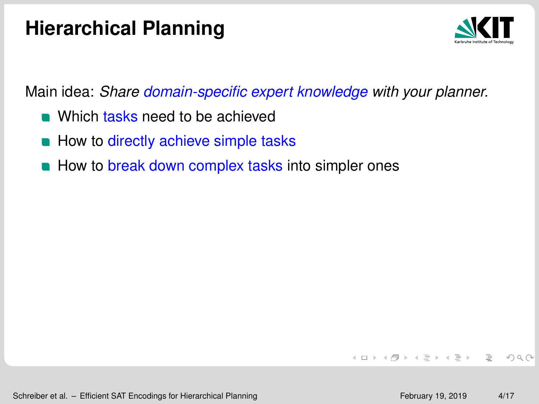## **Hierarchical Planning**



Main idea: *Share domain-specific expert knowledge with your planner.*

- **No Which tasks need to be achieved**
- How to directly achieve simple tasks
- How to break down complex tasks into simpler ones

 $A$ 

イロン イ団 メイミン イミン ニヨー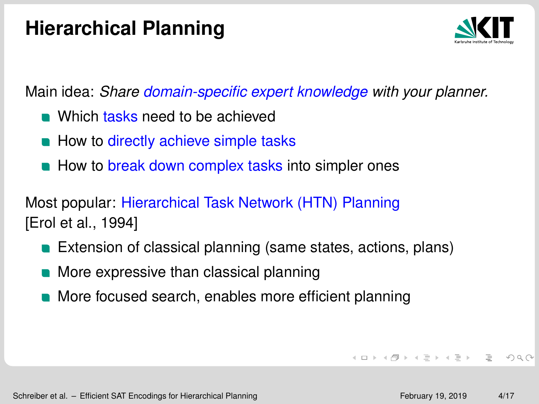## **Hierarchical Planning**



Main idea: *Share domain-specific expert knowledge with your planner.*

- **Nhich tasks need to be achieved**
- How to directly achieve simple tasks
- How to break down complex tasks into simpler ones

Most popular: Hierarchical Task Network (HTN) Planning [\[Erol et al., 1994\]](#page-44-0)

- **Extension of classical planning (same states, actions, plans)**
- More expressive than classical planning
- More focused search, enables more efficient planning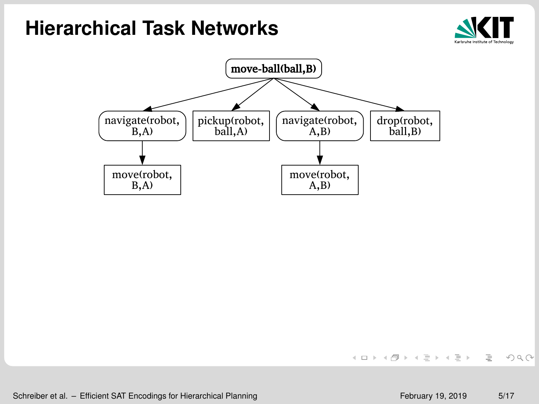



Schreiber et al. – [Efficient SAT Encodings for Hierarchical Planning](#page-0-0) February 19, 2019 5/17

 $OQ$ 

イロン イ団 メイミン イミン ニヨー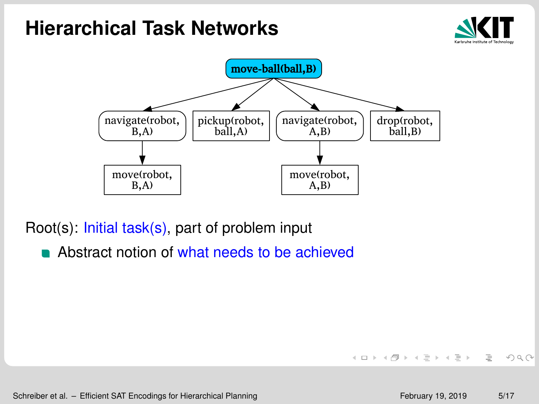



Root(s): Initial task(s), part of problem input

Abstract notion of what needs to be achieved

Schreiber et al. – [Efficient SAT Encodings for Hierarchical Planning](#page-0-0) February 19, 2019 5/17

 $OQ$ 

イロン イ団 メイミン イミン ニヨー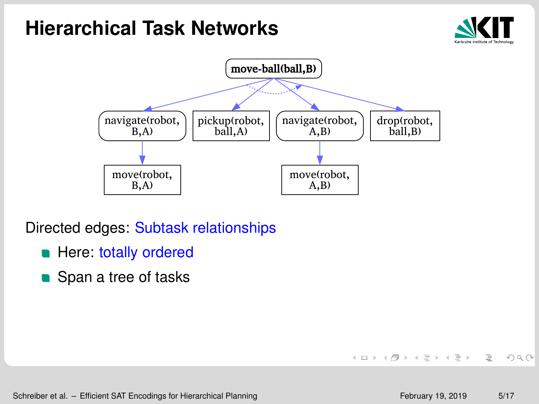



Directed edges: Subtask relationships

- **Here: totally ordered**
- Span a tree of tasks

Schreiber et al. – [Efficient SAT Encodings for Hierarchical Planning](#page-0-0) February 19, 2019 5/17

 $OQ$ 

イロン イ母ン イミン イヨン ニヨー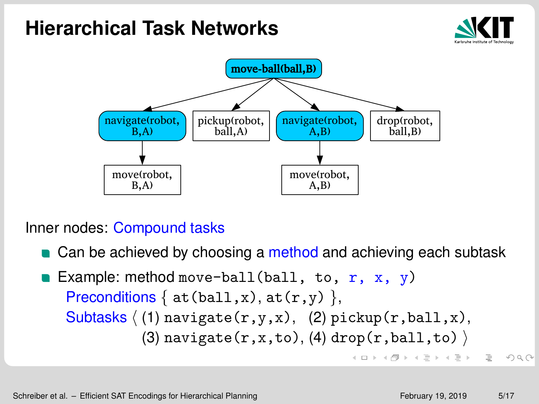



Inner nodes: Compound tasks

- Can be achieved by choosing a method and achieving each subtask
- Example: method move-ball(ball, to,  $r, x, y$ ) Preconditions  $\{$  at(ball,x), at(r,y)  $\}$ , Subtasks  $(1)$  navigate $(r,y,x)$ ,  $(2)$  pickup $(r,ball,x)$ , (3) navigate(r,x,to), (4) drop(r,ball,to)  $\rangle$  $\mathcal{A} \otimes \mathcal{B} \rightarrow \mathcal{A} \otimes \mathcal{B} \rightarrow \mathcal{A} \otimes \mathcal{B} \rightarrow \mathcal{B} \otimes \mathcal{B} \rightarrow \mathcal{B} \otimes \mathcal{B} \rightarrow \mathcal{B} \otimes \mathcal{B} \rightarrow \mathcal{B} \otimes \mathcal{B} \rightarrow \mathcal{B} \otimes \mathcal{B} \rightarrow \mathcal{B} \otimes \mathcal{B} \rightarrow \mathcal{B} \otimes \mathcal{B} \rightarrow \mathcal{B} \otimes \mathcal{B} \rightarrow \mathcal{B} \otimes \mathcal{B} \rightarrow \mathcal{B} \otimes \mathcal{B} \$  $QQQ$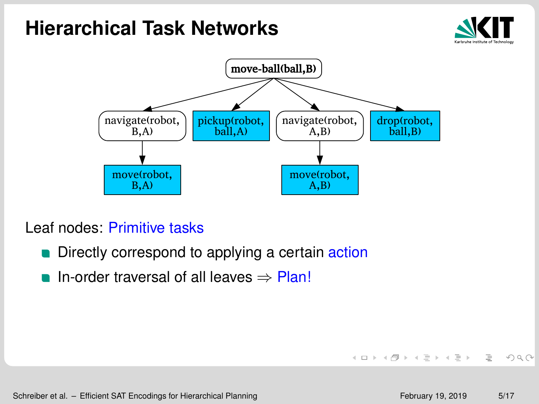



Leaf nodes: Primitive tasks

- Directly correspond to applying a certain action  $\blacksquare$
- In-order traversal of all leaves ⇒ Plan!

 $OQ$ 

イロン イ団 メイミン イミン ニヨー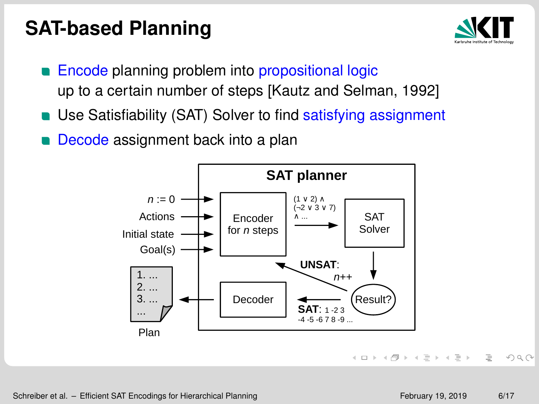### **SAT-based Planning**



- Encode planning problem into propositional logic up to a certain number of steps [\[Kautz and Selman, 1992\]](#page-44-1)
- Use Satisfiability (SAT) Solver to find satisfying assignment
- Decode assignment back into a plan



 $OQ$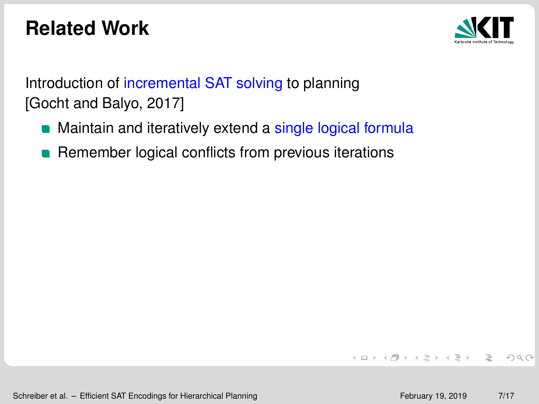## **Related Work**



Introduction of incremental SAT solving to planning [\[Gocht and Balyo, 2017\]](#page-44-2)

- Maintain and iteratively extend a single logical formula
- **Remember logical conflicts from previous iterations**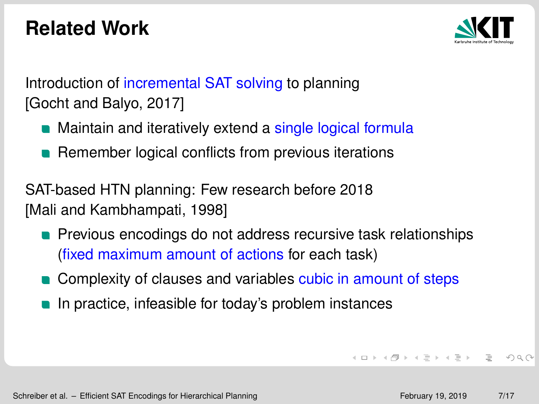## **Related Work**



Introduction of incremental SAT solving to planning [\[Gocht and Balyo, 2017\]](#page-44-2)

- Maintain and iteratively extend a single logical formula
- **Remember logical conflicts from previous iterations**

SAT-based HTN planning: Few research before 2018 [\[Mali and Kambhampati, 1998\]](#page-45-0)

- **Previous encodings do not address recursive task relationships** (fixed maximum amount of actions for each task)
- Complexity of clauses and variables cubic in amount of steps
- In practice, infeasible for today's problem instances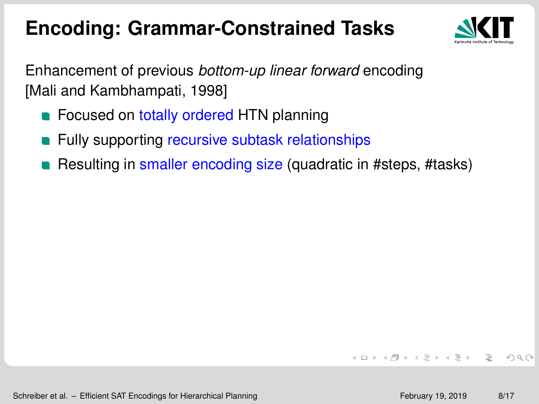## **Encoding: Grammar-Constrained Tasks**



Enhancement of previous *bottom-up linear forward* encoding [\[Mali and Kambhampati, 1998\]](#page-45-0)

- **Exercise Conseq on totally ordered HTN planning**
- **EXECUTE:** Fully supporting recursive subtask relationships
- Resulting in smaller encoding size (quadratic in #steps, #tasks)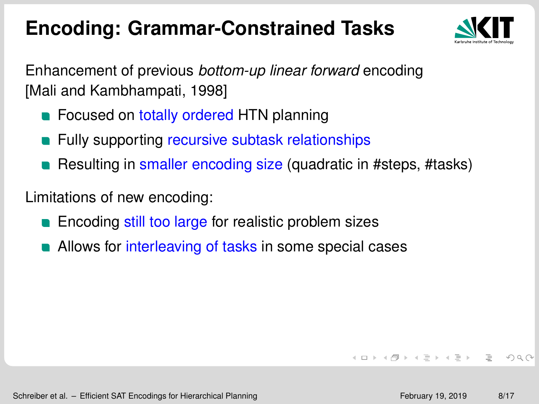## **Encoding: Grammar-Constrained Tasks**



Enhancement of previous *bottom-up linear forward* encoding [\[Mali and Kambhampati, 1998\]](#page-45-0)

- **Exercise Conseq on totally ordered HTN planning**
- **EXECUTE:** Fully supporting recursive subtask relationships
- Resulting in smaller encoding size (quadratic in #steps, #tasks)

Limitations of new encoding:

- **Encoding still too large for realistic problem sizes**
- Allows for interleaving of tasks in some special cases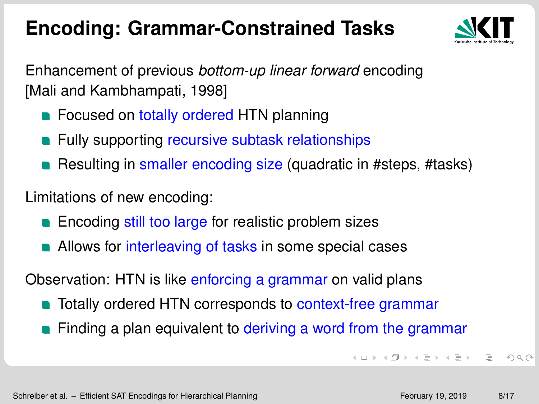## **Encoding: Grammar-Constrained Tasks**



Enhancement of previous *bottom-up linear forward* encoding [\[Mali and Kambhampati, 1998\]](#page-45-0)

- **Exercise Conseq on totally ordered HTN planning**
- **EXECUTE:** Fully supporting recursive subtask relationships
- Resulting in smaller encoding size (quadratic in #steps, #tasks)

Limitations of new encoding:

- **Encoding still too large for realistic problem sizes**
- Allows for interleaving of tasks in some special cases

Observation: HTN is like enforcing a grammar on valid plans

- **T** Totally ordered HTN corresponds to context-free grammar
- Finding a plan equivalent to deriving a word from the grammar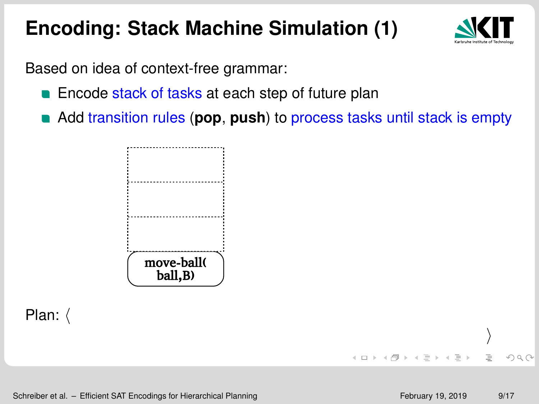

Based on idea of context-free grammar:

- **Encode stack of tasks at each step of future plan**
- Add transition rules (**pop**, **push**) to process tasks until stack is empty

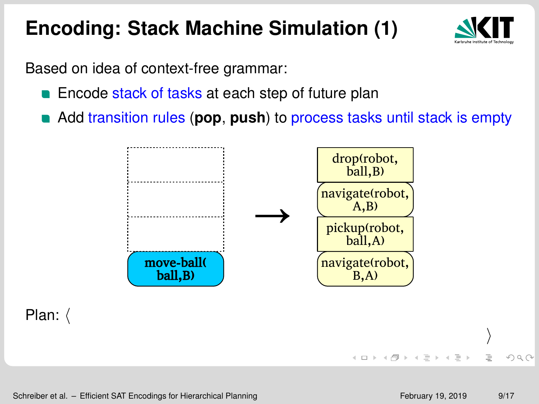

Based on idea of context-free grammar:

- **Encode stack of tasks at each step of future plan**
- Add transition rules (**pop**, **push**) to process tasks until stack is empty

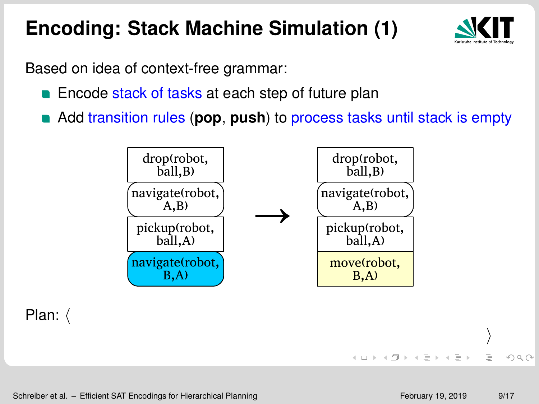

Based on idea of context-free grammar:

- **Encode stack of tasks at each step of future plan**
- Add transition rules (**pop**, **push**) to process tasks until stack is empty

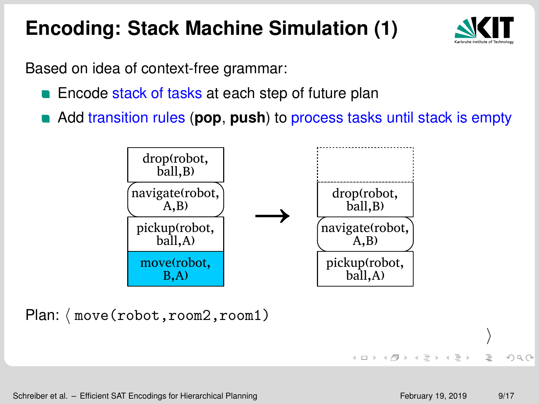

Based on idea of context-free grammar:

- **Encode stack of tasks at each step of future plan**
- Add transition rules (**pop**, **push**) to process tasks until stack is empty



Plan:  $\langle$  move(robot,room2,room1)

イロト イ団 トイミト イミト

 $\rangle$ 

 $QQQ$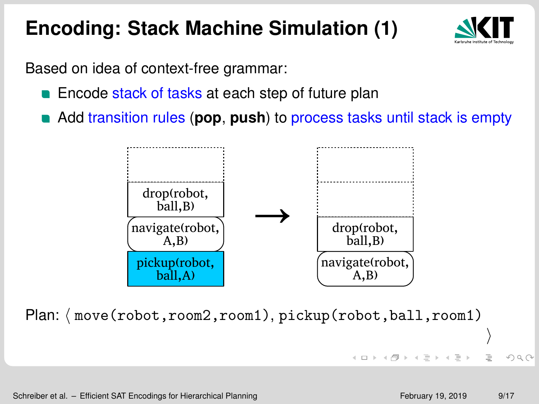

Based on idea of context-free grammar:

- **Encode stack of tasks at each step of future plan**
- Add transition rules (**pop**, **push**) to process tasks until stack is empty



Plan:  $\langle$  move(robot,room2,room1), pickup(robot,ball,room1)  $\rangle$ 

 $OQ$ 

 $(1 + 4)$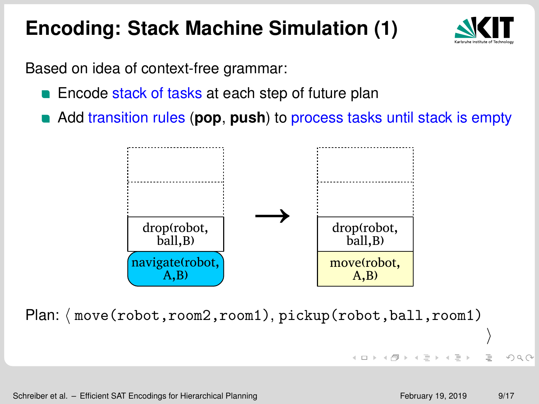

Based on idea of context-free grammar:

- **Encode stack of tasks at each step of future plan**
- Add transition rules (**pop**, **push**) to process tasks until stack is empty



Plan:  $\langle$  move(robot,room2,room1), pickup(robot,ball,room1)

 $\left\{ \begin{array}{ccc} 1 & 0 & 0 \\ 0 & 1 & 0 \end{array} \right.$ 

 $\rangle$ 

 $\Omega$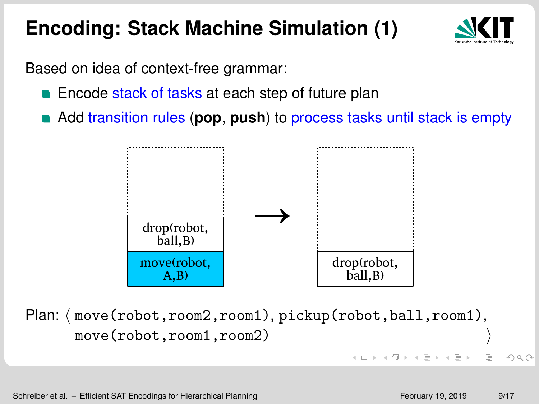

Based on idea of context-free grammar:

- **Encode stack of tasks at each step of future plan**
- Add transition rules (**pop**, **push**) to process tasks until stack is empty



Plan:  $\langle$  move(robot,room2,room1), pickup(robot,ball,room1), move(robot,room1,room2)

 $\Omega$ 

 $\mathcal{A} \subseteq \mathcal{B} \rightarrow \mathcal{A} \oplus \mathcal{B} \rightarrow \mathcal{A} \oplus \mathcal{B} \rightarrow \mathcal{A} \oplus \mathcal{B}$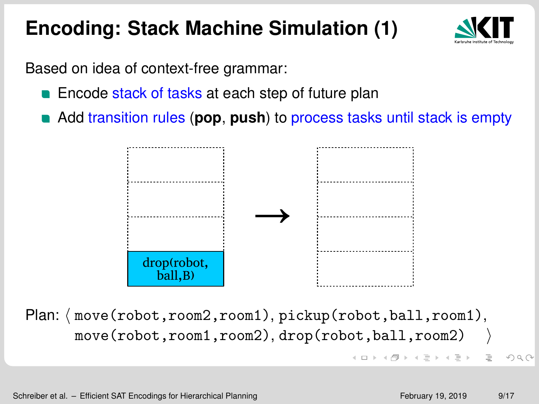

Based on idea of context-free grammar:

- **Encode stack of tasks at each step of future plan**
- Add transition rules (**pop**, **push**) to process tasks until stack is empty



Plan:  $\langle$  move(robot,room2,room1), pickup(robot,ball,room1), move(robot,room1,room2), drop(robot,ball,room2) イロメ イ団 メイモメイモメー  $\equiv$  $QQQ$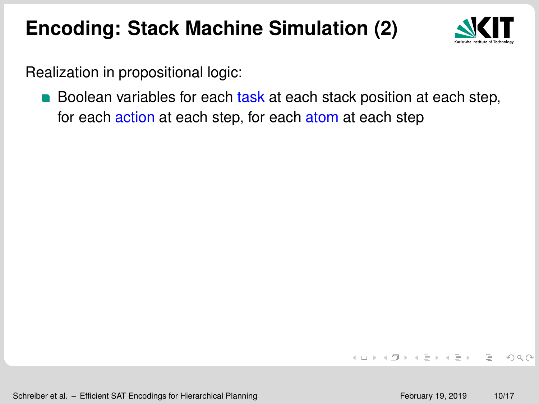

Realization in propositional logic:

**Boolean variables for each task at each stack position at each step,** for each action at each step, for each atom at each step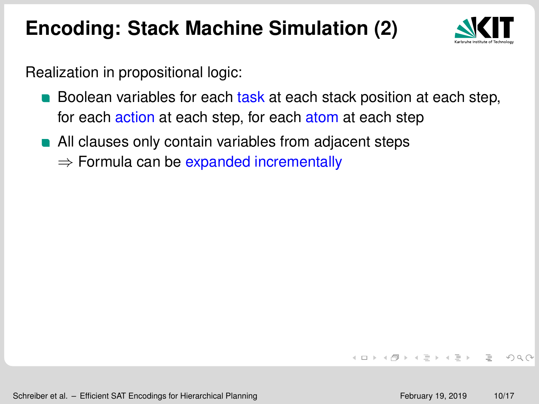

Realization in propositional logic:

- **Boolean variables for each task at each stack position at each step,** for each action at each step, for each atom at each step
- **All clauses only contain variables from adjacent steps** 
	- $\Rightarrow$  Formula can be expanded incrementally

4 ロ > 4 団 > 4 ミ > 4 ミ > ニ シ 9 Q Q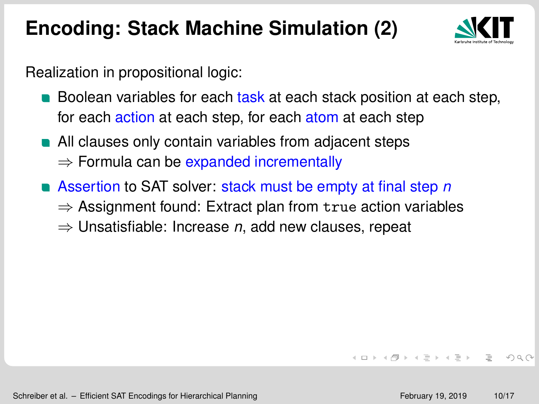

Realization in propositional logic:

- **Boolean variables for each task at each stack position at each step,** for each action at each step, for each atom at each step
- **All clauses only contain variables from adjacent steps**  $\Rightarrow$  Formula can be expanded incrementally
- Assertion to SAT solver: stack must be empty at final step *n*
	- $\Rightarrow$  Assignment found: Extract plan from true action variables
	- ⇒ Unsatisfiable: Increase *n*, add new clauses, repeat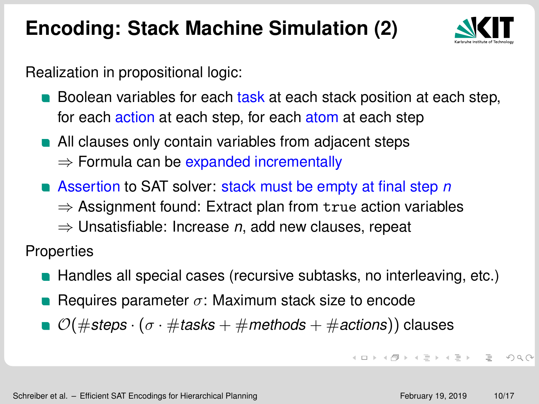

Realization in propositional logic:

- **Boolean variables for each task at each stack position at each step,** for each action at each step, for each atom at each step
- **All clauses only contain variables from adjacent steps**  $\Rightarrow$  Formula can be expanded incrementally
- Assertion to SAT solver: stack must be empty at final step *n*  $\Rightarrow$  Assignment found: Extract plan from true action variables
	- ⇒ Unsatisfiable: Increase *n*, add new clauses, repeat

**Properties** 

- **Handles all special cases (recursive subtasks, no interleaving, etc.)**
- Requires parameter  $\sigma$ : Maximum stack size to encode
- O(#*steps* · (σ · #*tasks* + #*methods* + #*actions*)) clauses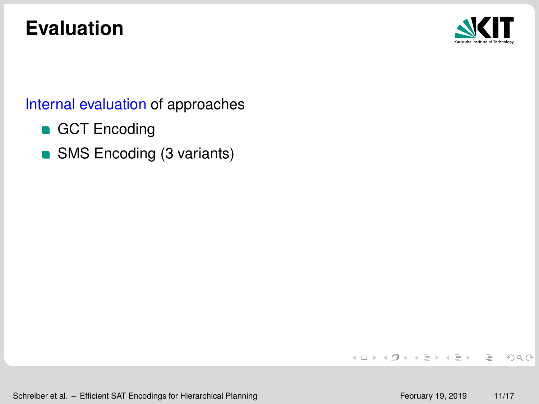## **Evaluation**



#### Internal evaluation of approaches

- GCT Encoding
- SMS Encoding (3 variants)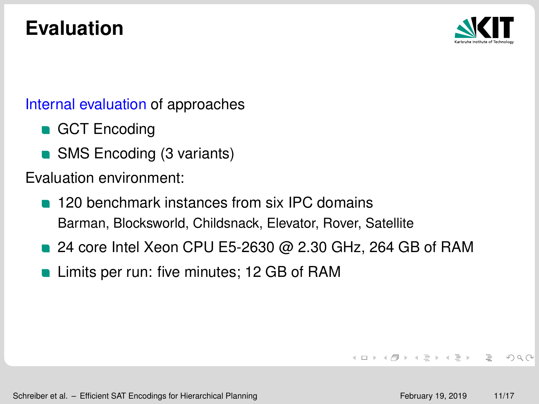# **Evaluation**



#### Internal evaluation of approaches

- GCT Encoding
- SMS Encoding (3 variants)

Evaluation environment:

- **120 benchmark instances from six IPC domains** Barman, Blocksworld, Childsnack, Elevator, Rover, Satellite
- 24 core Intel Xeon CPU E5-2630 @ 2.30 GHz, 264 GB of RAM
- **Limits per run: five minutes; 12 GB of RAM**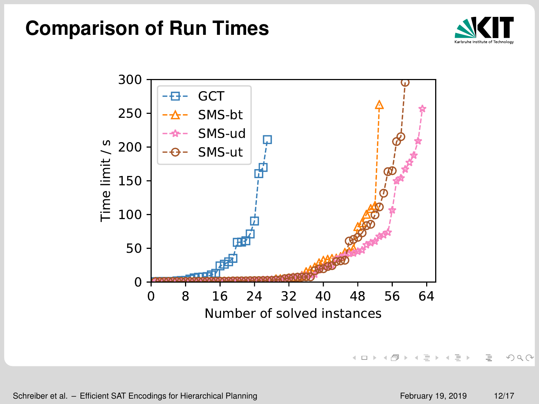#### **Comparison of Run Times**





 $OQ$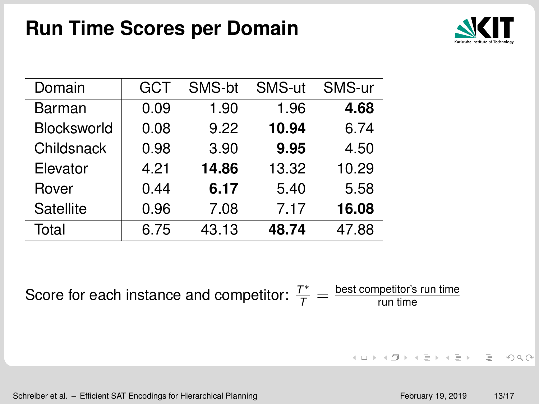

| Domain      | GCT  | SMS-bt | SMS-ut | SMS-ur |
|-------------|------|--------|--------|--------|
| Barman      | 0.09 | 1.90   | 1.96   | 4.68   |
| Blocksworld | 0.08 | 9.22   | 10.94  | 6.74   |
| Childsnack  | 0.98 | 3.90   | 9.95   | 4.50   |
| Elevator    | 4.21 | 14.86  | 13.32  | 10.29  |
| Rover       | 0.44 | 6.17   | 5.40   | 5.58   |
| Satellite   | 0.96 | 7.08   | 7.17   | 16.08  |
| Total       | 6.75 | 43.13  | 48.74  | 47.88  |

Score for each instance and competitor:  $\frac{T^*}{T} = \frac{\text{best competitor's run time}}{\text{run time}}$ run time

Schreiber et al. – [Efficient SAT Encodings for Hierarchical Planning](#page-0-0) February 19, 2019 13/17

 $A \equiv \begin{pmatrix} 1 & 0 & 0 \\ 0 & 1 & 0 \\ 0 & 0 & 0 \\ 0 & 0 & 0 \\ 0 & 0 & 0 \\ 0 & 0 & 0 \\ 0 & 0 & 0 \\ 0 & 0 & 0 \\ 0 & 0 & 0 \\ 0 & 0 & 0 \\ 0 & 0 & 0 \\ 0 & 0 & 0 \\ 0 & 0 & 0 \\ 0 & 0 & 0 \\ 0 & 0 & 0 \\ 0 & 0 & 0 & 0 \\ 0 & 0 & 0 & 0 \\ 0 & 0 & 0 & 0 \\ 0 & 0 & 0 & 0 & 0 \\ 0 & 0 & 0 & 0 & 0 \\ 0 & 0 & 0 &$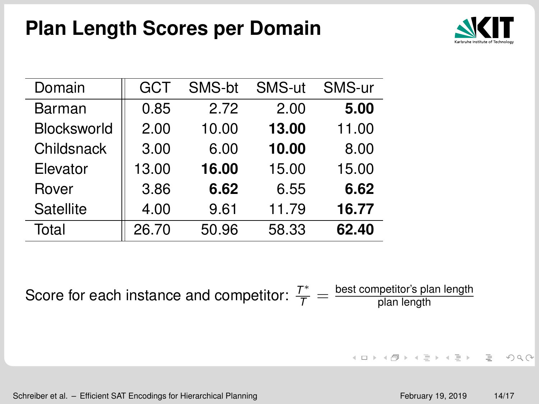

| Domain      | GCT   | SMS-bt | SMS-ut | SMS-ur |
|-------------|-------|--------|--------|--------|
| Barman      | 0.85  | 2.72   | 2.00   | 5.00   |
| Blocksworld | 2.00  | 10.00  | 13.00  | 11.00  |
| Childsnack  | 3.00  | 6.00   | 10.00  | 8.00   |
| Elevator    | 13.00 | 16.00  | 15.00  | 15.00  |
| Rover       | 3.86  | 6.62   | 6.55   | 6.62   |
| Satellite   | 4.00  | 9.61   | 11.79  | 16.77  |
| Total       | 26.70 | 50.96  | 58.33  | 62.40  |

Score for each instance and competitor:  $\frac{T^*}{T} = \frac{\text{best competitor's plan length}}{\text{plan length}}$ plan length

 $A \equiv \begin{pmatrix} 1 & 0 & 0 \\ 0 & 1 & 0 \\ 0 & 0 & 0 \\ 0 & 0 & 0 \\ 0 & 0 & 0 \\ 0 & 0 & 0 \\ 0 & 0 & 0 \\ 0 & 0 & 0 \\ 0 & 0 & 0 \\ 0 & 0 & 0 \\ 0 & 0 & 0 \\ 0 & 0 & 0 \\ 0 & 0 & 0 \\ 0 & 0 & 0 \\ 0 & 0 & 0 \\ 0 & 0 & 0 & 0 \\ 0 & 0 & 0 & 0 \\ 0 & 0 & 0 & 0 \\ 0 & 0 & 0 & 0 & 0 \\ 0 & 0 & 0 & 0 & 0 \\ 0 & 0 & 0 &$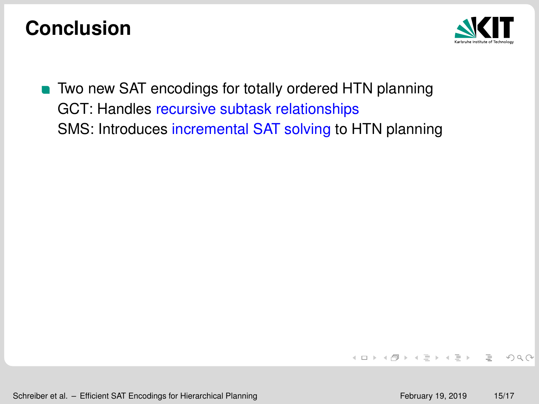

**Two new SAT encodings for totally ordered HTN planning** GCT: Handles recursive subtask relationships SMS: Introduces incremental SAT solving to HTN planning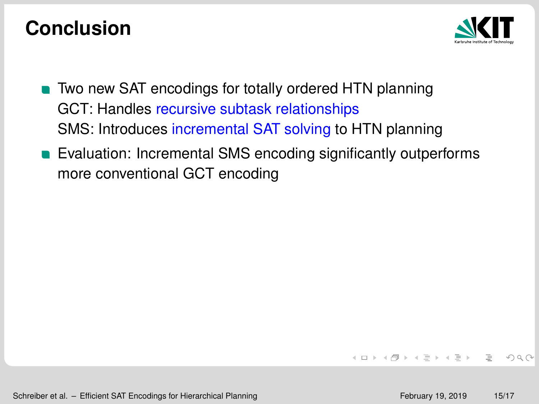

- **Two new SAT encodings for totally ordered HTN planning** GCT: Handles recursive subtask relationships SMS: Introduces incremental SAT solving to HTN planning
- **Exaluation: Incremental SMS encoding significantly outperforms** more conventional GCT encoding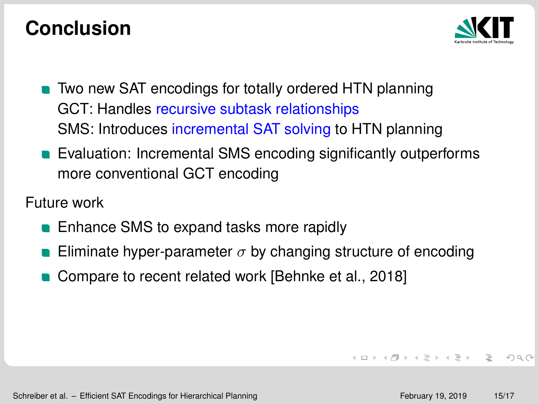

- **Two new SAT encodings for totally ordered HTN planning** GCT: Handles recursive subtask relationships SMS: Introduces incremental SAT solving to HTN planning
- **Exaluation: Incremental SMS encoding significantly outperforms** more conventional GCT encoding

Future work

- **Enhance SMS to expand tasks more rapidly**
- Eliminate hyper-parameter  $\sigma$  by changing structure of encoding
- Compare to recent related work [\[Behnke et al., 2018\]](#page-44-3)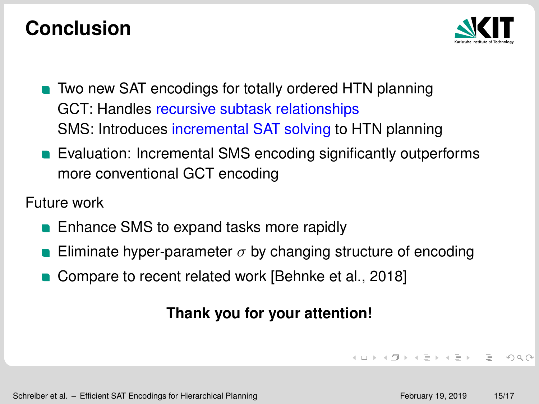

- **Two new SAT encodings for totally ordered HTN planning** GCT: Handles recursive subtask relationships SMS: Introduces incremental SAT solving to HTN planning
- **Exaluation: Incremental SMS encoding significantly outperforms** more conventional GCT encoding

Future work

- **Enhance SMS to expand tasks more rapidly**
- Eliminate hyper-parameter  $\sigma$  by changing structure of encoding
- Compare to recent related work [\[Behnke et al., 2018\]](#page-44-3)

#### **Thank you for your attention!**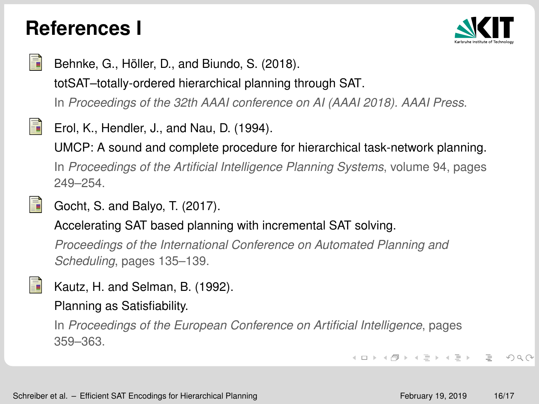#### **References I**



<span id="page-44-3"></span>

Behnke, G., Höller, D., and Biundo, S. (2018).

totSAT–totally-ordered hierarchical planning through SAT.

In *Proceedings of the 32th AAAI conference on AI (AAAI 2018). AAAI Press*.

<span id="page-44-0"></span> $\equiv$ Erol, K., Hendler, J., and Nau, D. (1994).

UMCP: A sound and complete procedure for hierarchical task-network planning.

In *Proceedings of the Artificial Intelligence Planning Systems*, volume 94, pages 249–254.

#### Gocht, S. and Balyo, T. (2017).

Accelerating SAT based planning with incremental SAT solving.

*Proceedings of the International Conference on Automated Planning and Scheduling*, pages 135–139.

<span id="page-44-1"></span>

<span id="page-44-2"></span>Ħ

Kautz, H. and Selman, B. (1992).

Planning as Satisfiability.

In *Proceedings of the European Conference on Artificial Intelligence*, pages 359–363.

> イロン イ団 メイミン イミン ニヨー  $OQ$